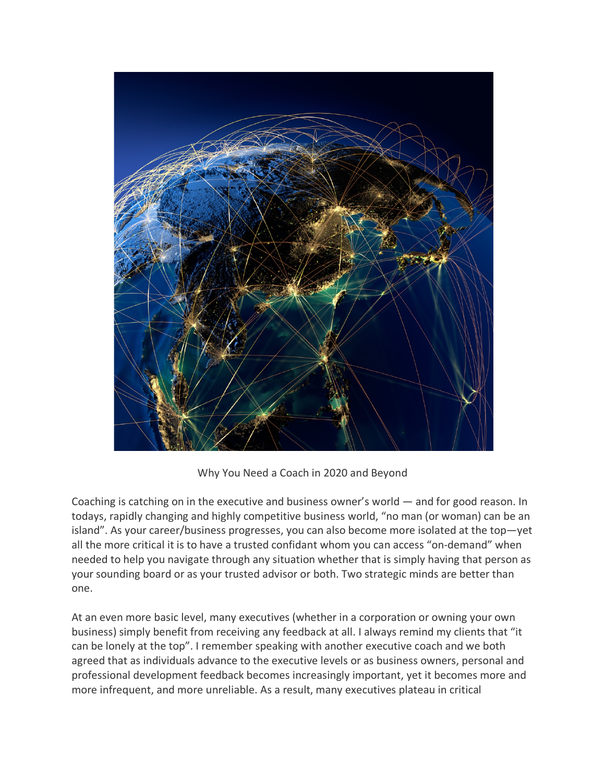

Why You Need a Coach in 2020 and Beyond

Coaching is catching on in the executive and business owner's world — and for good reason. In todays, rapidly changing and highly competitive business world, "no man (or woman) can be an island". As your career/business progresses, you can also become more isolated at the top—yet all the more critical it is to have a trusted confidant whom you can access "on-demand" when needed to help you navigate through any situation whether that is simply having that person as your sounding board or as your trusted advisor or both. Two strategic minds are better than one.

At an even more basic level, many executives (whether in a corporation or owning your own business) simply benefit from receiving any feedback at all. I always remind my clients that "it can be lonely at the top". I remember speaking with another executive coach and we both agreed that as individuals advance to the executive levels or as business owners, personal and professional development feedback becomes increasingly important, yet it becomes more and more infrequent, and more unreliable. As a result, many executives plateau in critical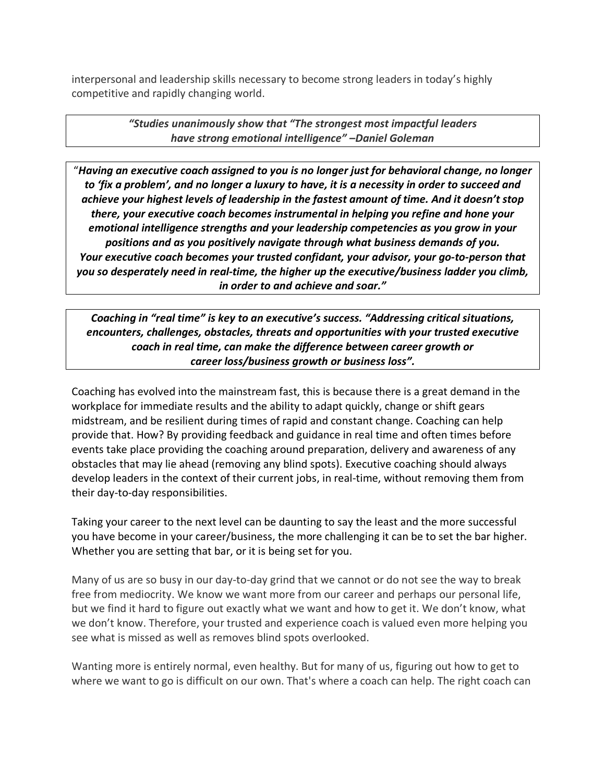interpersonal and leadership skills necessary to become strong leaders in today's highly competitive and rapidly changing world.

> *"Studies unanimously show that "The strongest most impactful leaders have strong emotional intelligence" –Daniel Goleman*

"*Having an executive coach assigned to you is no longer just for behavioral change, no longer to 'fix a problem', and no longer a luxury to have, it is a necessity in order to succeed and achieve your highest levels of leadership in the fastest amount of time. And it doesn't stop there, your executive coach becomes instrumental in helping you refine and hone your emotional intelligence strengths and your leadership competencies as you grow in your positions and as you positively navigate through what business demands of you. Your executive coach becomes your trusted confidant, your advisor, your go-to-person that you so desperately need in real-time, the higher up the executive/business ladder you climb, in order to and achieve and soar."*

*Coaching in "real time" is key to an executive's success. "Addressing critical situations, encounters, challenges, obstacles, threats and opportunities with your trusted executive coach in real time, can make the difference between career growth or career loss/business growth or business loss".*

Coaching has evolved into the mainstream fast, this is because there is a great demand in the workplace for immediate results and the ability to adapt quickly, change or shift gears midstream, and be resilient during times of rapid and constant change. Coaching can help provide that. How? By providing feedback and guidance in real time and often times before events take place providing the coaching around preparation, delivery and awareness of any obstacles that may lie ahead (removing any blind spots). Executive coaching should always develop leaders in the context of their current jobs, in real-time, without removing them from their day-to-day responsibilities.

Taking your career to the next level can be daunting to say the least and the more successful you have become in your career/business, the more challenging it can be to set the bar higher. Whether you are setting that bar, or it is being set for you.

Many of us are so busy in our day-to-day grind that we cannot or do not see the way to break free from mediocrity. We know we want more from our career and perhaps our personal life, but we find it hard to figure out exactly what we want and how to get it. We don't know, what we don't know. Therefore, your trusted and experience coach is valued even more helping you see what is missed as well as removes blind spots overlooked.

Wanting more is entirely normal, even healthy. But for many of us, figuring out how to get to where we want to go is difficult on our own. That's where a coach can help. The right coach can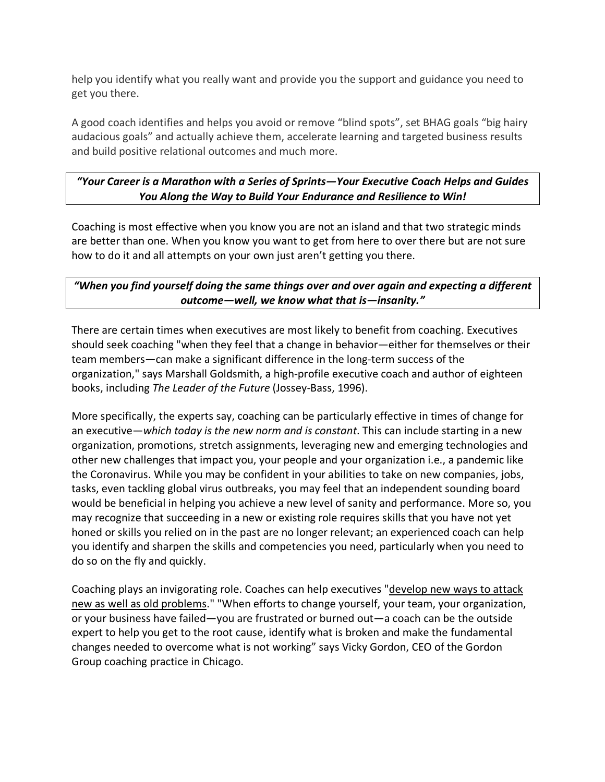help you identify what you really want and provide you the support and guidance you need to get you there.

A good coach identifies and helps you avoid or remove "blind spots", set BHAG goals "big hairy audacious goals" and actually achieve them, accelerate learning and targeted business results and build positive relational outcomes and much more.

### *"Your Career is a Marathon with a Series of Sprints—Your Executive Coach Helps and Guides You Along the Way to Build Your Endurance and Resilience to Win!*

Coaching is most effective when you know you are not an island and that two strategic minds are better than one. When you know you want to get from here to over there but are not sure how to do it and all attempts on your own just aren't getting you there.

# *"When you find yourself doing the same things over and over again and expecting a different outcome—well, we know what that is—insanity."*

There are certain times when executives are most likely to benefit from coaching. Executives should seek coaching "when they feel that a change in behavior—either for themselves or their team members—can make a significant difference in the long-term success of the organization," says Marshall Goldsmith, a high-profile executive coach and author of eighteen books, including *The Leader of the Future* (Jossey-Bass, 1996).

More specifically, the experts say, coaching can be particularly effective in times of change for an executive—*which today is the new norm and is constant*. This can include starting in a new organization, promotions, stretch assignments, leveraging new and emerging technologies and other new challenges that impact you, your people and your organization i.e., a pandemic like the Coronavirus. While you may be confident in your abilities to take on new companies, jobs, tasks, even tackling global virus outbreaks, you may feel that an independent sounding board would be beneficial in helping you achieve a new level of sanity and performance. More so, you may recognize that succeeding in a new or existing role requires skills that you have not yet honed or skills you relied on in the past are no longer relevant; an experienced coach can help you identify and sharpen the skills and competencies you need, particularly when you need to do so on the fly and quickly.

Coaching plays an invigorating role. Coaches can help executives "develop new ways to attack new as well as old problems." "When efforts to change yourself, your team, your organization, or your business have failed—you are frustrated or burned out—a coach can be the outside expert to help you get to the root cause, identify what is broken and make the fundamental changes needed to overcome what is not working" says Vicky Gordon, CEO of the Gordon Group coaching practice in Chicago.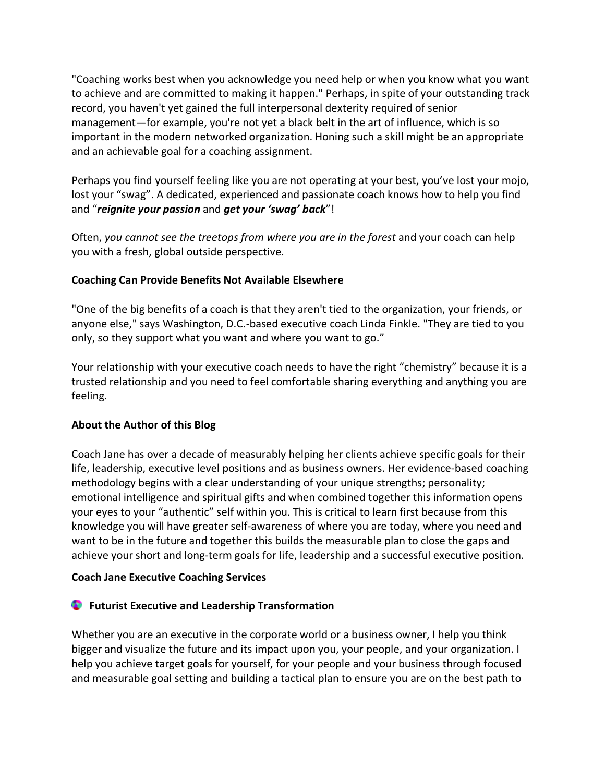"Coaching works best when you acknowledge you need help or when you know what you want to achieve and are committed to making it happen." Perhaps, in spite of your outstanding track record, you haven't yet gained the full interpersonal dexterity required of senior management—for example, you're not yet a black belt in the art of influence, which is so important in the modern networked organization. Honing such a skill might be an appropriate and an achievable goal for a coaching assignment.

Perhaps you find yourself feeling like you are not operating at your best, you've lost your mojo, lost your "swag". A dedicated, experienced and passionate coach knows how to help you find and "*reignite your passion* and *get your 'swag' back*"!

Often, *you cannot see the treetops from where you are in the forest* and your coach can help you with a fresh, global outside perspective.

### **Coaching Can Provide Benefits Not Available Elsewhere**

"One of the big benefits of a coach is that they aren't tied to the organization, your friends, or anyone else," says Washington, D.C.-based executive coach Linda Finkle. "They are tied to you only, so they support what you want and where you want to go."

Your relationship with your executive coach needs to have the right "chemistry" because it is a trusted relationship and you need to feel comfortable sharing everything and anything you are feeling.

### **About the Author of this Blog**

Coach Jane has over a decade of measurably helping her clients achieve specific goals for their life, leadership, executive level positions and as business owners. Her evidence-based coaching methodology begins with a clear understanding of your unique strengths; personality; emotional intelligence and spiritual gifts and when combined together this information opens your eyes to your "authentic" self within you. This is critical to learn first because from this knowledge you will have greater self-awareness of where you are today, where you need and want to be in the future and together this builds the measurable plan to close the gaps and achieve your short and long-term goals for life, leadership and a successful executive position.

### **Coach Jane Executive Coaching Services**

# **Futurist Executive and Leadership Transformation**

Whether you are an executive in the corporate world or a business owner, I help you think bigger and visualize the future and its impact upon you, your people, and your organization. I help you achieve target goals for yourself, for your people and your business through focused and measurable goal setting and building a tactical plan to ensure you are on the best path to